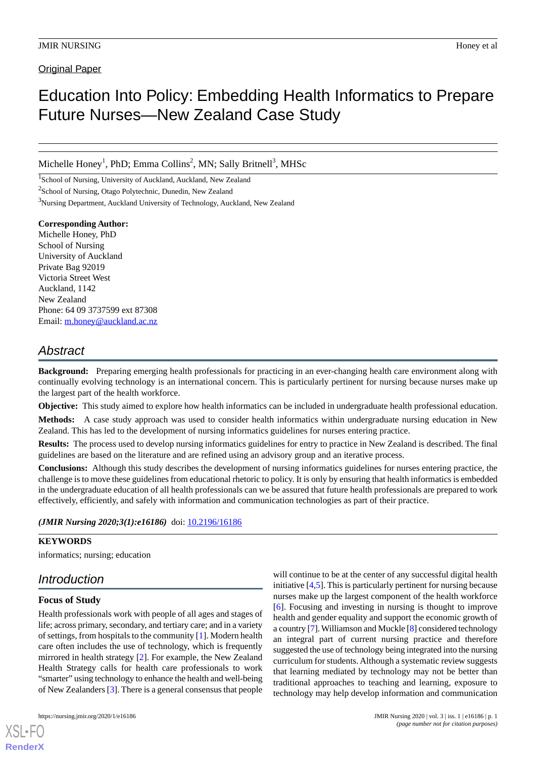Original Paper

# Education Into Policy: Embedding Health Informatics to Prepare Future Nurses—New Zealand Case Study

Michelle Honey<sup>1</sup>, PhD; Emma Collins<sup>2</sup>, MN; Sally Britnell<sup>3</sup>, MHSc

<sup>1</sup>School of Nursing, University of Auckland, Auckland, New Zealand <sup>2</sup>School of Nursing, Otago Polytechnic, Dunedin, New Zealand <sup>3</sup>Nursing Department, Auckland University of Technology, Auckland, New Zealand

**Corresponding Author:** Michelle Honey, PhD School of Nursing University of Auckland Private Bag 92019 Victoria Street West Auckland, 1142 New Zealand Phone: 64 09 3737599 ext 87308 Email: [m.honey@auckland.ac.nz](mailto:m.honey@auckland.ac.nz)

# *Abstract*

**Background:** Preparing emerging health professionals for practicing in an ever-changing health care environment along with continually evolving technology is an international concern. This is particularly pertinent for nursing because nurses make up the largest part of the health workforce.

**Objective:** This study aimed to explore how health informatics can be included in undergraduate health professional education.

**Methods:** A case study approach was used to consider health informatics within undergraduate nursing education in New Zealand. This has led to the development of nursing informatics guidelines for nurses entering practice.

**Results:** The process used to develop nursing informatics guidelines for entry to practice in New Zealand is described. The final guidelines are based on the literature and are refined using an advisory group and an iterative process.

**Conclusions:** Although this study describes the development of nursing informatics guidelines for nurses entering practice, the challenge is to move these guidelines from educational rhetoric to policy. It is only by ensuring that health informatics is embedded in the undergraduate education of all health professionals can we be assured that future health professionals are prepared to work effectively, efficiently, and safely with information and communication technologies as part of their practice.

*(JMIR Nursing 2020;3(1):e16186)* doi: [10.2196/16186](http://dx.doi.org/10.2196/16186)

# **KEYWORDS**

informatics; nursing; education

# *Introduction*

# **Focus of Study**

Health professionals work with people of all ages and stages of life; across primary, secondary, and tertiary care; and in a variety of settings, from hospitals to the community [[1\]](#page-4-0). Modern health care often includes the use of technology, which is frequently mirrored in health strategy [[2\]](#page-4-1). For example, the New Zealand Health Strategy calls for health care professionals to work "smarter" using technology to enhance the health and well-being of New Zealanders [\[3](#page-4-2)]. There is a general consensus that people

[XSL](http://www.w3.org/Style/XSL)•FO **[RenderX](http://www.renderx.com/)**

will continue to be at the center of any successful digital health initiative [[4](#page-4-3)[,5\]](#page-4-4). This is particularly pertinent for nursing because nurses make up the largest component of the health workforce [[6\]](#page-4-5). Focusing and investing in nursing is thought to improve health and gender equality and support the economic growth of a country [[7\]](#page-4-6). Williamson and Muckle [\[8](#page-4-7)] considered technology an integral part of current nursing practice and therefore suggested the use of technology being integrated into the nursing curriculum for students. Although a systematic review suggests that learning mediated by technology may not be better than traditional approaches to teaching and learning, exposure to technology may help develop information and communication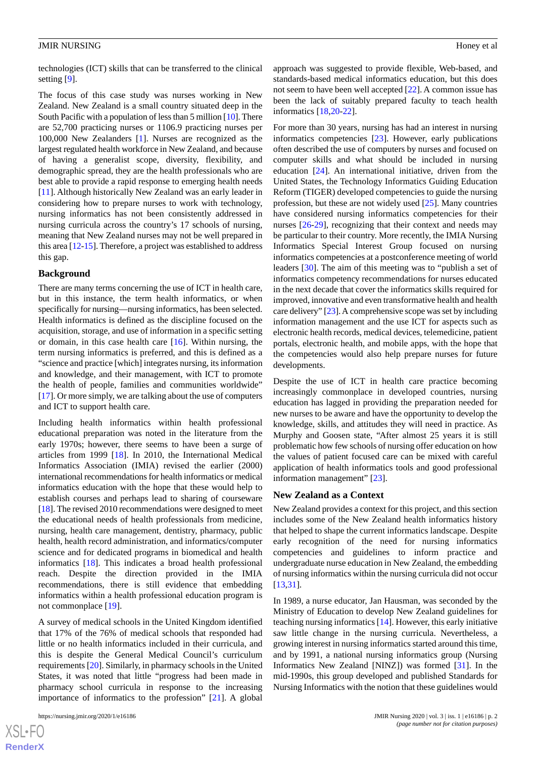technologies (ICT) skills that can be transferred to the clinical setting [\[9](#page-5-0)].

The focus of this case study was nurses working in New Zealand. New Zealand is a small country situated deep in the South Pacific with a population of less than 5 million [[10](#page-5-1)]. There are 52,700 practicing nurses or 1106.9 practicing nurses per 100,000 New Zealanders [\[1](#page-4-0)]. Nurses are recognized as the largest regulated health workforce in New Zealand, and because of having a generalist scope, diversity, flexibility, and demographic spread, they are the health professionals who are best able to provide a rapid response to emerging health needs [[11\]](#page-5-2). Although historically New Zealand was an early leader in considering how to prepare nurses to work with technology, nursing informatics has not been consistently addressed in nursing curricula across the country's 17 schools of nursing, meaning that New Zealand nurses may not be well prepared in this area [\[12](#page-5-3)[-15](#page-5-4)]. Therefore, a project was established to address this gap.

#### **Background**

There are many terms concerning the use of ICT in health care, but in this instance, the term health informatics, or when specifically for nursing—nursing informatics, has been selected. Health informatics is defined as the discipline focused on the acquisition, storage, and use of information in a specific setting or domain, in this case health care [[16\]](#page-5-5). Within nursing, the term nursing informatics is preferred, and this is defined as a "science and practice [which] integrates nursing, its information and knowledge, and their management, with ICT to promote the health of people, families and communities worldwide" [[17\]](#page-5-6). Or more simply, we are talking about the use of computers and ICT to support health care.

Including health informatics within health professional educational preparation was noted in the literature from the early 1970s; however, there seems to have been a surge of articles from 1999 [\[18](#page-5-7)]. In 2010, the International Medical Informatics Association (IMIA) revised the earlier (2000) international recommendations for health informatics or medical informatics education with the hope that these would help to establish courses and perhaps lead to sharing of courseware [[18\]](#page-5-7). The revised 2010 recommendations were designed to meet the educational needs of health professionals from medicine, nursing, health care management, dentistry, pharmacy, public health, health record administration, and informatics/computer science and for dedicated programs in biomedical and health informatics [[18\]](#page-5-7). This indicates a broad health professional reach. Despite the direction provided in the IMIA recommendations, there is still evidence that embedding informatics within a health professional education program is not commonplace [[19\]](#page-5-8).

A survey of medical schools in the United Kingdom identified that 17% of the 76% of medical schools that responded had little or no health informatics included in their curricula, and this is despite the General Medical Council's curriculum requirements [[20\]](#page-5-9). Similarly, in pharmacy schools in the United States, it was noted that little "progress had been made in pharmacy school curricula in response to the increasing importance of informatics to the profession" [[21\]](#page-5-10). A global

 $XS$ -FO **[RenderX](http://www.renderx.com/)** approach was suggested to provide flexible, Web-based, and standards-based medical informatics education, but this does not seem to have been well accepted [\[22](#page-5-11)]. A common issue has been the lack of suitably prepared faculty to teach health informatics [\[18](#page-5-7),[20-](#page-5-9)[22\]](#page-5-11).

For more than 30 years, nursing has had an interest in nursing informatics competencies [\[23](#page-5-12)]. However, early publications often described the use of computers by nurses and focused on computer skills and what should be included in nursing education [[24\]](#page-5-13). An international initiative, driven from the United States, the Technology Informatics Guiding Education Reform (TIGER) developed competencies to guide the nursing profession, but these are not widely used [\[25](#page-5-14)]. Many countries have considered nursing informatics competencies for their nurses [[26](#page-5-15)[-29](#page-5-16)], recognizing that their context and needs may be particular to their country. More recently, the IMIA Nursing Informatics Special Interest Group focused on nursing informatics competencies at a postconference meeting of world leaders [\[30](#page-5-17)]. The aim of this meeting was to "publish a set of informatics competency recommendations for nurses educated in the next decade that cover the informatics skills required for improved, innovative and even transformative health and health care delivery" [\[23\]](#page-5-12). A comprehensive scope was set by including information management and the use ICT for aspects such as electronic health records, medical devices, telemedicine, patient portals, electronic health, and mobile apps, with the hope that the competencies would also help prepare nurses for future developments.

Despite the use of ICT in health care practice becoming increasingly commonplace in developed countries, nursing education has lagged in providing the preparation needed for new nurses to be aware and have the opportunity to develop the knowledge, skills, and attitudes they will need in practice. As Murphy and Goosen state, "After almost 25 years it is still problematic how few schools of nursing offer education on how the values of patient focused care can be mixed with careful application of health informatics tools and good professional information management" [[23\]](#page-5-12).

#### **New Zealand as a Context**

New Zealand provides a context for this project, and this section includes some of the New Zealand health informatics history that helped to shape the current informatics landscape. Despite early recognition of the need for nursing informatics competencies and guidelines to inform practice and undergraduate nurse education in New Zealand, the embedding of nursing informatics within the nursing curricula did not occur [[13,](#page-5-18)[31\]](#page-5-19).

In 1989, a nurse educator, Jan Hausman, was seconded by the Ministry of Education to develop New Zealand guidelines for teaching nursing informatics [[14\]](#page-5-20). However, this early initiative saw little change in the nursing curricula. Nevertheless, a growing interest in nursing informatics started around this time, and by 1991, a national nursing informatics group (Nursing Informatics New Zealand [NINZ]) was formed [[31\]](#page-5-19). In the mid-1990s, this group developed and published Standards for Nursing Informatics with the notion that these guidelines would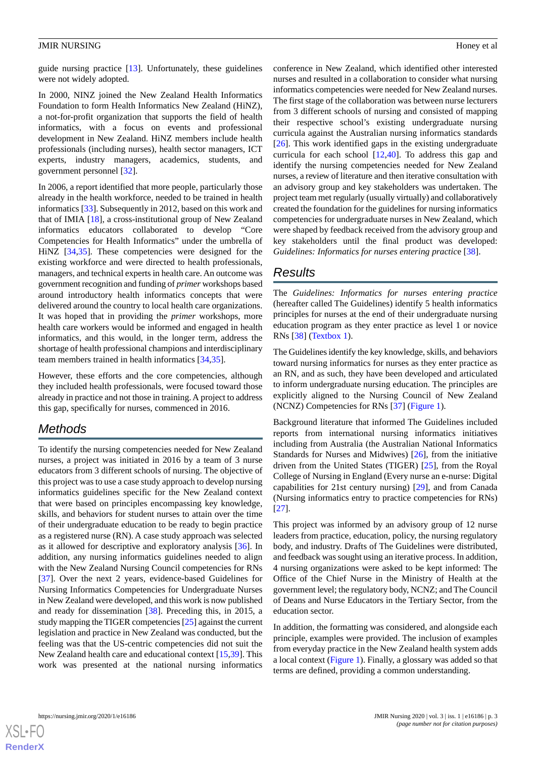In 2000, NINZ joined the New Zealand Health Informatics Foundation to form Health Informatics New Zealand (HiNZ), a not-for-profit organization that supports the field of health informatics, with a focus on events and professional development in New Zealand. HiNZ members include health professionals (including nurses), health sector managers, ICT experts, industry managers, academics, students, and government personnel [\[32](#page-5-21)].

In 2006, a report identified that more people, particularly those already in the health workforce, needed to be trained in health informatics [\[33](#page-6-0)]. Subsequently in 2012, based on this work and that of IMIA [\[18](#page-5-7)], a cross-institutional group of New Zealand informatics educators collaborated to develop "Core Competencies for Health Informatics" under the umbrella of HiNZ [\[34](#page-6-1),[35\]](#page-6-2). These competencies were designed for the existing workforce and were directed to health professionals, managers, and technical experts in health care. An outcome was government recognition and funding of *primer* workshops based around introductory health informatics concepts that were delivered around the country to local health care organizations. It was hoped that in providing the *primer* workshops, more health care workers would be informed and engaged in health informatics, and this would, in the longer term, address the shortage of health professional champions and interdisciplinary team members trained in health informatics [\[34](#page-6-1),[35\]](#page-6-2).

However, these efforts and the core competencies, although they included health professionals, were focused toward those already in practice and not those in training. A project to address this gap, specifically for nurses, commenced in 2016.

# *Methods*

To identify the nursing competencies needed for New Zealand nurses, a project was initiated in 2016 by a team of 3 nurse educators from 3 different schools of nursing. The objective of this project was to use a case study approach to develop nursing informatics guidelines specific for the New Zealand context that were based on principles encompassing key knowledge, skills, and behaviors for student nurses to attain over the time of their undergraduate education to be ready to begin practice as a registered nurse (RN). A case study approach was selected as it allowed for descriptive and exploratory analysis [\[36](#page-6-3)]. In addition, any nursing informatics guidelines needed to align with the New Zealand Nursing Council competencies for RNs [[37\]](#page-6-4). Over the next 2 years, evidence-based Guidelines for Nursing Informatics Competencies for Undergraduate Nurses in New Zealand were developed, and this work is now published and ready for dissemination [\[38](#page-6-5)]. Preceding this, in 2015, a study mapping the TIGER competencies [\[25](#page-5-14)] against the current legislation and practice in New Zealand was conducted, but the feeling was that the US-centric competencies did not suit the New Zealand health care and educational context [[15,](#page-5-4)[39\]](#page-6-6). This work was presented at the national nursing informatics

conference in New Zealand, which identified other interested nurses and resulted in a collaboration to consider what nursing informatics competencies were needed for New Zealand nurses. The first stage of the collaboration was between nurse lecturers from 3 different schools of nursing and consisted of mapping their respective school's existing undergraduate nursing curricula against the Australian nursing informatics standards [[26\]](#page-5-15). This work identified gaps in the existing undergraduate curricula for each school [[12,](#page-5-3)[40\]](#page-6-7). To address this gap and identify the nursing competencies needed for New Zealand nurses, a review of literature and then iterative consultation with an advisory group and key stakeholders was undertaken. The project team met regularly (usually virtually) and collaboratively created the foundation for the guidelines for nursing informatics competencies for undergraduate nurses in New Zealand, which were shaped by feedback received from the advisory group and key stakeholders until the final product was developed: *Guidelines: Informatics for nurses entering practic*e [\[38](#page-6-5)].

# *Results*

The *Guidelines: Informatics for nurses entering practice* (hereafter called The Guidelines) identify 5 health informatics principles for nurses at the end of their undergraduate nursing education program as they enter practice as level 1 or novice RNs [\[38](#page-6-5)] [\(Textbox 1](#page-3-0)).

The Guidelines identify the key knowledge, skills, and behaviors toward nursing informatics for nurses as they enter practice as an RN, and as such, they have been developed and articulated to inform undergraduate nursing education. The principles are explicitly aligned to the Nursing Council of New Zealand (NCNZ) Competencies for RNs [[37\]](#page-6-4) [\(Figure 1\)](#page-3-1).

Background literature that informed The Guidelines included reports from international nursing informatics initiatives including from Australia (the Australian National Informatics Standards for Nurses and Midwives) [\[26](#page-5-15)], from the initiative driven from the United States (TIGER) [\[25](#page-5-14)], from the Royal College of Nursing in England (Every nurse an e-nurse: Digital capabilities for 21st century nursing) [\[29](#page-5-16)], and from Canada (Nursing informatics entry to practice competencies for RNs) [[27\]](#page-5-22).

This project was informed by an advisory group of 12 nurse leaders from practice, education, policy, the nursing regulatory body, and industry. Drafts of The Guidelines were distributed, and feedback was sought using an iterative process. In addition, 4 nursing organizations were asked to be kept informed: The Office of the Chief Nurse in the Ministry of Health at the government level; the regulatory body, NCNZ; and The Council of Deans and Nurse Educators in the Tertiary Sector, from the education sector.

In addition, the formatting was considered, and alongside each principle, examples were provided. The inclusion of examples from everyday practice in the New Zealand health system adds a local context ([Figure 1](#page-3-1)). Finally, a glossary was added so that terms are defined, providing a common understanding.

 $XS$  $\cdot$ FC **[RenderX](http://www.renderx.com/)**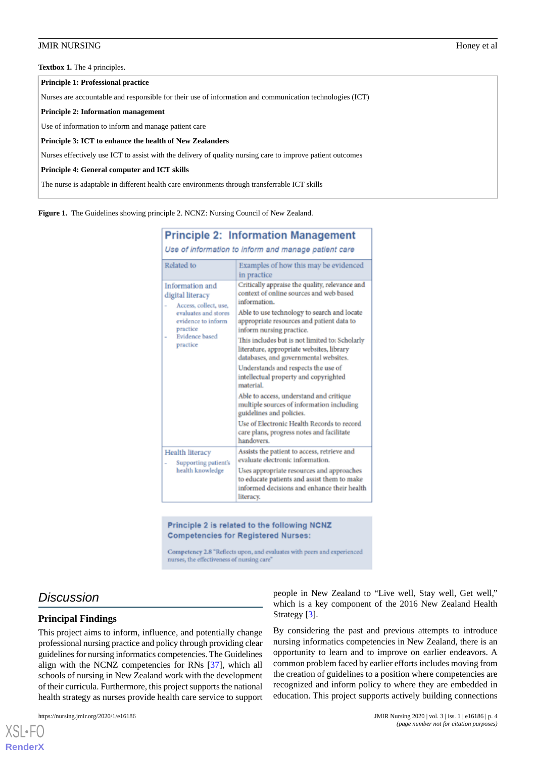<span id="page-3-0"></span>**Textbox 1.** The 4 principles.

**Principle 1: Professional practice**

Nurses are accountable and responsible for their use of information and communication technologies (ICT)

#### **Principle 2: Information management**

Use of information to inform and manage patient care

**Principle 3: ICT to enhance the health of New Zealanders**

Nurses effectively use ICT to assist with the delivery of quality nursing care to improve patient outcomes

#### **Principle 4: General computer and ICT skills**

<span id="page-3-1"></span>The nurse is adaptable in different health care environments through transferrable ICT skills

**Figure 1.** The Guidelines showing principle 2. NCNZ: Nursing Council of New Zealand.

| <b>Principle 2: Information Management</b><br>Use of information to inform and manage patient care                                                          |                                                                                                                                                      |
|-------------------------------------------------------------------------------------------------------------------------------------------------------------|------------------------------------------------------------------------------------------------------------------------------------------------------|
| Related to                                                                                                                                                  | Examples of how this may be evidenced<br>in practice                                                                                                 |
| Information and<br>digital literacy<br>Access, collect, use,<br>evaluates and stores<br>evidence to inform<br>practice<br><b>Evidence</b> based<br>practice | Critically appraise the quality, relevance and<br>context of online sources and web based<br>information.                                            |
|                                                                                                                                                             | Able to use technology to search and locate<br>appropriate resources and patient data to<br>inform nursing practice.                                 |
|                                                                                                                                                             | This includes but is not limited to: Scholarly<br>literature, appropriate websites, library<br>databases, and governmental websites.                 |
|                                                                                                                                                             | Understands and respects the use of<br>intellectual property and copyrighted<br>material                                                             |
|                                                                                                                                                             | Able to access, understand and critique<br>multiple sources of information including<br>guidelines and policies.                                     |
|                                                                                                                                                             | Use of Electronic Health Records to record<br>care plans, progress notes and facilitate<br>handovers.                                                |
| <b>Health literacy</b><br>Supporting patient's<br>health knowledge                                                                                          | Assists the patient to access, retrieve and<br>evaluate electronic information.                                                                      |
|                                                                                                                                                             | Uses appropriate resources and approaches<br>to educate patients and assist them to make<br>informed decisions and enhance their health<br>literacy. |

Principle 2 is related to the following NCNZ **Competencies for Registered Nurses:** 

Competency 2.8 "Reflects upon, and evaluates with peers and experienced nurses, the effectiveness of nursing care'

# *Discussion*

### **Principal Findings**

This project aims to inform, influence, and potentially change professional nursing practice and policy through providing clear guidelines for nursing informatics competencies. The Guidelines align with the NCNZ competencies for RNs [[37\]](#page-6-4), which all schools of nursing in New Zealand work with the development of their curricula. Furthermore, this project supports the national health strategy as nurses provide health care service to support

[XSL](http://www.w3.org/Style/XSL)•FO **[RenderX](http://www.renderx.com/)**

people in New Zealand to "Live well, Stay well, Get well," which is a key component of the 2016 New Zealand Health Strategy [[3\]](#page-4-2).

By considering the past and previous attempts to introduce nursing informatics competencies in New Zealand, there is an opportunity to learn and to improve on earlier endeavors. A common problem faced by earlier efforts includes moving from the creation of guidelines to a position where competencies are recognized and inform policy to where they are embedded in education. This project supports actively building connections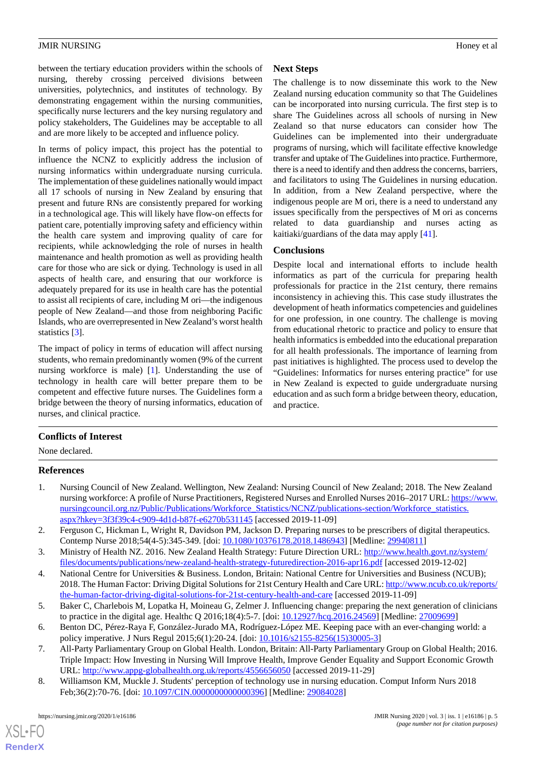between the tertiary education providers within the schools of nursing, thereby crossing perceived divisions between universities, polytechnics, and institutes of technology. By demonstrating engagement within the nursing communities, specifically nurse lecturers and the key nursing regulatory and policy stakeholders, The Guidelines may be acceptable to all and are more likely to be accepted and influence policy.

In terms of policy impact, this project has the potential to influence the NCNZ to explicitly address the inclusion of nursing informatics within undergraduate nursing curricula. The implementation of these guidelines nationally would impact all 17 schools of nursing in New Zealand by ensuring that present and future RNs are consistently prepared for working in a technological age. This will likely have flow-on effects for patient care, potentially improving safety and efficiency within the health care system and improving quality of care for recipients, while acknowledging the role of nurses in health maintenance and health promotion as well as providing health care for those who are sick or dying. Technology is used in all aspects of health care, and ensuring that our workforce is adequately prepared for its use in health care has the potential to assist all recipients of care, including M ori—the indigenous people of New Zealand—and those from neighboring Pacific Islands, who are overrepresented in New Zealand's worst health statistics [[3\]](#page-4-2).

The impact of policy in terms of education will affect nursing students, who remain predominantly women (9% of the current nursing workforce is male) [\[1](#page-4-0)]. Understanding the use of technology in health care will better prepare them to be competent and effective future nurses. The Guidelines form a bridge between the theory of nursing informatics, education of nurses, and clinical practice.

# **Next Steps**

The challenge is to now disseminate this work to the New Zealand nursing education community so that The Guidelines can be incorporated into nursing curricula. The first step is to share The Guidelines across all schools of nursing in New Zealand so that nurse educators can consider how The Guidelines can be implemented into their undergraduate programs of nursing, which will facilitate effective knowledge transfer and uptake of The Guidelines into practice. Furthermore, there is a need to identify and then address the concerns, barriers, and facilitators to using The Guidelines in nursing education. In addition, from a New Zealand perspective, where the indigenous people are M ori, there is a need to understand any issues specifically from the perspectives of M ori as concerns related to data guardianship and nurses acting as kaitiaki/guardians of the data may apply [\[41](#page-6-8)].

# **Conclusions**

Despite local and international efforts to include health informatics as part of the curricula for preparing health professionals for practice in the 21st century, there remains inconsistency in achieving this. This case study illustrates the development of heath informatics competencies and guidelines for one profession, in one country. The challenge is moving from educational rhetoric to practice and policy to ensure that health informatics is embedded into the educational preparation for all health professionals. The importance of learning from past initiatives is highlighted. The process used to develop the "Guidelines: Informatics for nurses entering practice" for use in New Zealand is expected to guide undergraduate nursing education and as such form a bridge between theory, education, and practice.

# <span id="page-4-0"></span>**Conflicts of Interest**

None declared.

# <span id="page-4-1"></span>**References**

- <span id="page-4-2"></span>1. Nursing Council of New Zealand. Wellington, New Zealand: Nursing Council of New Zealand; 2018. The New Zealand nursing workforce: A profile of Nurse Practitioners, Registered Nurses and Enrolled Nurses 2016–2017 URL: [https://www.](https://www.nursingcouncil.org.nz/Public/Publications/Workforce_Statistics/NCNZ/publications-section/Workforce_statistics.aspx?hkey=3f3f39c4-c909-4d1d-b87f-e6270b531145) [nursingcouncil.org.nz/Public/Publications/Workforce\\_Statistics/NCNZ/publications-section/Workforce\\_statistics.](https://www.nursingcouncil.org.nz/Public/Publications/Workforce_Statistics/NCNZ/publications-section/Workforce_statistics.aspx?hkey=3f3f39c4-c909-4d1d-b87f-e6270b531145) [aspx?hkey=3f3f39c4-c909-4d1d-b87f-e6270b531145](https://www.nursingcouncil.org.nz/Public/Publications/Workforce_Statistics/NCNZ/publications-section/Workforce_statistics.aspx?hkey=3f3f39c4-c909-4d1d-b87f-e6270b531145) [accessed 2019-11-09]
- <span id="page-4-3"></span>2. Ferguson C, Hickman L, Wright R, Davidson PM, Jackson D. Preparing nurses to be prescribers of digital therapeutics. Contemp Nurse 2018;54(4-5):345-349. [doi: [10.1080/10376178.2018.1486943\]](http://dx.doi.org/10.1080/10376178.2018.1486943) [Medline: [29940811](http://www.ncbi.nlm.nih.gov/entrez/query.fcgi?cmd=Retrieve&db=PubMed&list_uids=29940811&dopt=Abstract)]
- <span id="page-4-4"></span>3. Ministry of Health NZ. 2016. New Zealand Health Strategy: Future Direction URL: [http://www.health.govt.nz/system/](http://www.health.govt.nz/system/files/documents/publications/new-zealand-health-strategy-futuredirection-2016-apr16.pdf) [files/documents/publications/new-zealand-health-strategy-futuredirection-2016-apr16.pdf](http://www.health.govt.nz/system/files/documents/publications/new-zealand-health-strategy-futuredirection-2016-apr16.pdf) [accessed 2019-12-02]
- <span id="page-4-6"></span><span id="page-4-5"></span>4. National Centre for Universities & Business. London, Britain: National Centre for Universities and Business (NCUB); 2018. The Human Factor: Driving Digital Solutions for 21st Century Health and Care URL: [http://www.ncub.co.uk/reports/](http://www.ncub.co.uk/reports/the-human-factor-driving-digital-solutions-for-21st-century-health-and-care) [the-human-factor-driving-digital-solutions-for-21st-century-health-and-care](http://www.ncub.co.uk/reports/the-human-factor-driving-digital-solutions-for-21st-century-health-and-care) [accessed 2019-11-09]
- <span id="page-4-7"></span>5. Baker C, Charlebois M, Lopatka H, Moineau G, Zelmer J. Influencing change: preparing the next generation of clinicians to practice in the digital age. Healthc Q 2016;18(4):5-7. [doi: [10.12927/hcq.2016.24569\]](http://dx.doi.org/10.12927/hcq.2016.24569) [Medline: [27009699\]](http://www.ncbi.nlm.nih.gov/entrez/query.fcgi?cmd=Retrieve&db=PubMed&list_uids=27009699&dopt=Abstract)
- 6. Benton DC, Pérez-Raya F, González-Jurado MA, Rodríguez-López ME. Keeping pace with an ever-changing world: a policy imperative. J Nurs Regul 2015;6(1):20-24. [doi: [10.1016/s2155-8256\(15\)30005-3](http://dx.doi.org/10.1016/s2155-8256(15)30005-3)]
- 7. All-Party Parliamentary Group on Global Health. London, Britain: All-Party Parliamentary Group on Global Health; 2016. Triple Impact: How Investing in Nursing Will Improve Health, Improve Gender Equality and Support Economic Growth URL: <http://www.appg-globalhealth.org.uk/reports/4556656050>[accessed 2019-11-29]
- 8. Williamson KM, Muckle J. Students' perception of technology use in nursing education. Comput Inform Nurs 2018 Feb;36(2):70-76. [doi: [10.1097/CIN.0000000000000396\]](http://dx.doi.org/10.1097/CIN.0000000000000396) [Medline: [29084028](http://www.ncbi.nlm.nih.gov/entrez/query.fcgi?cmd=Retrieve&db=PubMed&list_uids=29084028&dopt=Abstract)]

[XSL](http://www.w3.org/Style/XSL)•FO **[RenderX](http://www.renderx.com/)**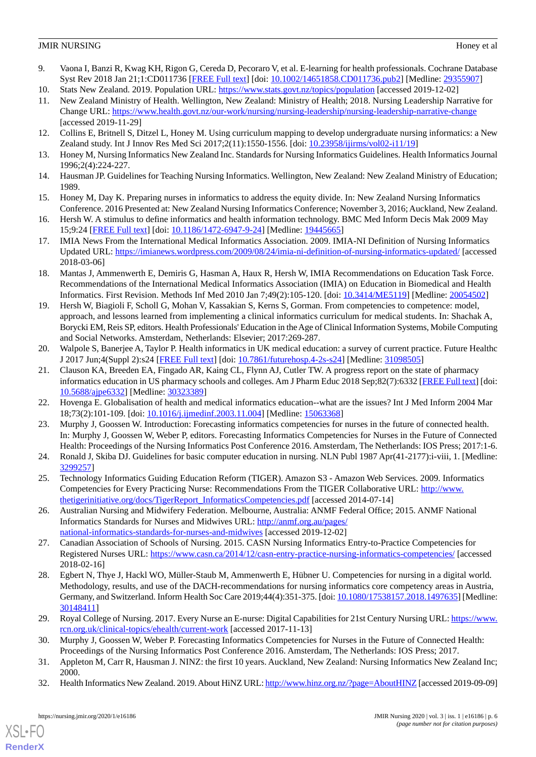- <span id="page-5-0"></span>9. Vaona I, Banzi R, Kwag KH, Rigon G, Cereda D, Pecoraro V, et al. E-learning for health professionals. Cochrane Database Syst Rev 2018 Jan 21;1:CD011736 [\[FREE Full text\]](http://europepmc.org/abstract/MED/29355907) [doi: [10.1002/14651858.CD011736.pub2](http://dx.doi.org/10.1002/14651858.CD011736.pub2)] [Medline: [29355907\]](http://www.ncbi.nlm.nih.gov/entrez/query.fcgi?cmd=Retrieve&db=PubMed&list_uids=29355907&dopt=Abstract)
- <span id="page-5-2"></span><span id="page-5-1"></span>10. Stats New Zealand. 2019. Population URL: <https://www.stats.govt.nz/topics/population> [accessed 2019-12-02]
- 11. New Zealand Ministry of Health. Wellington, New Zealand: Ministry of Health; 2018. Nursing Leadership Narrative for Change URL: <https://www.health.govt.nz/our-work/nursing/nursing-leadership/nursing-leadership-narrative-change> [accessed 2019-11-29]
- <span id="page-5-18"></span><span id="page-5-3"></span>12. Collins E, Britnell S, Ditzel L, Honey M. Using curriculum mapping to develop undergraduate nursing informatics: a New Zealand study. Int J Innov Res Med Sci 2017;2(11):1550-1556. [doi: [10.23958/ijirms/vol02-i11/19](http://dx.doi.org/10.23958/ijirms/vol02-i11/19)]
- <span id="page-5-20"></span>13. Honey M, Nursing Informatics New Zealand Inc. Standards for Nursing Informatics Guidelines. Health Informatics Journal 1996;2(4):224-227.
- <span id="page-5-4"></span>14. Hausman JP. Guidelines for Teaching Nursing Informatics. Wellington, New Zealand: New Zealand Ministry of Education; 1989.
- <span id="page-5-5"></span>15. Honey M, Day K. Preparing nurses in informatics to address the equity divide. In: New Zealand Nursing Informatics Conference. 2016 Presented at: New Zealand Nursing Informatics Conference; November 3, 2016; Auckland, New Zealand.
- <span id="page-5-6"></span>16. Hersh W. A stimulus to define informatics and health information technology. BMC Med Inform Decis Mak 2009 May 15;9:24 [[FREE Full text](https://bmcmedinformdecismak.biomedcentral.com/articles/10.1186/1472-6947-9-24)] [doi: [10.1186/1472-6947-9-24\]](http://dx.doi.org/10.1186/1472-6947-9-24) [Medline: [19445665\]](http://www.ncbi.nlm.nih.gov/entrez/query.fcgi?cmd=Retrieve&db=PubMed&list_uids=19445665&dopt=Abstract)
- <span id="page-5-7"></span>17. IMIA News From the International Medical Informatics Association. 2009. IMIA-NI Definition of Nursing Informatics Updated URL:<https://imianews.wordpress.com/2009/08/24/imia-ni-definition-of-nursing-informatics-updated/>[accessed 2018-03-06]
- <span id="page-5-8"></span>18. Mantas J, Ammenwerth E, Demiris G, Hasman A, Haux R, Hersh W, IMIA Recommendations on Education Task Force. Recommendations of the International Medical Informatics Association (IMIA) on Education in Biomedical and Health Informatics. First Revision. Methods Inf Med 2010 Jan 7;49(2):105-120. [doi: [10.3414/ME5119\]](http://dx.doi.org/10.3414/ME5119) [Medline: [20054502\]](http://www.ncbi.nlm.nih.gov/entrez/query.fcgi?cmd=Retrieve&db=PubMed&list_uids=20054502&dopt=Abstract)
- <span id="page-5-9"></span>19. Hersh W, Biagioli F, Scholl G, Mohan V, Kassakian S, Kerns S, Gorman. From competencies to competence: model, approach, and lessons learned from implementing a clinical informatics curriculum for medical students. In: Shachak A, Borycki EM, Reis SP, editors. Health Professionals' Education in the Age of Clinical Information Systems, Mobile Computing and Social Networks. Amsterdam, Netherlands: Elsevier; 2017:269-287.
- <span id="page-5-10"></span>20. Walpole S, Banerjee A, Taylor P. Health informatics in UK medical education: a survey of current practice. Future Healthc J 2017 Jun;4(Suppl 2):s24 [\[FREE Full text\]](http://europepmc.org/abstract/MED/31098505) [doi: [10.7861/futurehosp.4-2s-s24\]](http://dx.doi.org/10.7861/futurehosp.4-2s-s24) [Medline: [31098505\]](http://www.ncbi.nlm.nih.gov/entrez/query.fcgi?cmd=Retrieve&db=PubMed&list_uids=31098505&dopt=Abstract)
- <span id="page-5-12"></span><span id="page-5-11"></span>21. Clauson KA, Breeden EA, Fingado AR, Kaing CL, Flynn AJ, Cutler TW. A progress report on the state of pharmacy informatics education in US pharmacy schools and colleges. Am J Pharm Educ 2018 Sep;82(7):6332 [\[FREE Full text](http://europepmc.org/abstract/MED/30323389)] [doi: [10.5688/ajpe6332](http://dx.doi.org/10.5688/ajpe6332)] [Medline: [30323389](http://www.ncbi.nlm.nih.gov/entrez/query.fcgi?cmd=Retrieve&db=PubMed&list_uids=30323389&dopt=Abstract)]
- <span id="page-5-13"></span>22. Hovenga E. Globalisation of health and medical informatics education--what are the issues? Int J Med Inform 2004 Mar 18;73(2):101-109. [doi: [10.1016/j.ijmedinf.2003.11.004](http://dx.doi.org/10.1016/j.ijmedinf.2003.11.004)] [Medline: [15063368](http://www.ncbi.nlm.nih.gov/entrez/query.fcgi?cmd=Retrieve&db=PubMed&list_uids=15063368&dopt=Abstract)]
- <span id="page-5-14"></span>23. Murphy J, Goossen W. Introduction: Forecasting informatics competencies for nurses in the future of connected health. In: Murphy J, Goossen W, Weber P, editors. Forecasting Informatics Competencies for Nurses in the Future of Connected Health: Proceedings of the Nursing Informatics Post Conference 2016. Amsterdam, The Netherlands: IOS Press; 2017:1-6.
- <span id="page-5-15"></span>24. Ronald J, Skiba DJ. Guidelines for basic computer education in nursing. NLN Publ 1987 Apr(41-2177):i-viii, 1. [Medline: [3299257\]](http://www.ncbi.nlm.nih.gov/entrez/query.fcgi?cmd=Retrieve&db=PubMed&list_uids=3299257&dopt=Abstract)
- <span id="page-5-22"></span>25. Technology Informatics Guiding Education Reform (TIGER). Amazon S3 - Amazon Web Services. 2009. Informatics Competencies for Every Practicing Nurse: Recommendations From the TIGER Collaborative URL: [http://www.](http://www.thetigerinitiative.org/docs/TigerReport_InformaticsCompetencies.pdf) [thetigerinitiative.org/docs/TigerReport\\_InformaticsCompetencies.pdf](http://www.thetigerinitiative.org/docs/TigerReport_InformaticsCompetencies.pdf) [accessed 2014-07-14]
- 26. Australian Nursing and Midwifery Federation. Melbourne, Australia: ANMF Federal Office; 2015. ANMF National Informatics Standards for Nurses and Midwives URL: [http://anmf.org.au/pages/](http://anmf.org.au/pages/national-informatics-standards-for-nurses-and-midwives) [national-informatics-standards-for-nurses-and-midwives](http://anmf.org.au/pages/national-informatics-standards-for-nurses-and-midwives) [accessed 2019-12-02]
- <span id="page-5-16"></span>27. Canadian Association of Schools of Nursing. 2015. CASN Nursing Informatics Entry-to-Practice Competencies for Registered Nurses URL:<https://www.casn.ca/2014/12/casn-entry-practice-nursing-informatics-competencies/> [accessed 2018-02-16]
- <span id="page-5-19"></span><span id="page-5-17"></span>28. Egbert N, Thye J, Hackl WO, Müller-Staub M, Ammenwerth E, Hübner U. Competencies for nursing in a digital world. Methodology, results, and use of the DACH-recommendations for nursing informatics core competency areas in Austria, Germany, and Switzerland. Inform Health Soc Care 2019;44(4):351-375. [doi: [10.1080/17538157.2018.1497635\]](http://dx.doi.org/10.1080/17538157.2018.1497635) [Medline: [30148411](http://www.ncbi.nlm.nih.gov/entrez/query.fcgi?cmd=Retrieve&db=PubMed&list_uids=30148411&dopt=Abstract)]
- <span id="page-5-21"></span>29. Royal College of Nursing. 2017. Every Nurse an E-nurse: Digital Capabilities for 21st Century Nursing URL: [https://www.](https://www.rcn.org.uk/clinical-topics/ehealth/current-work) [rcn.org.uk/clinical-topics/ehealth/current-work](https://www.rcn.org.uk/clinical-topics/ehealth/current-work) [accessed 2017-11-13]
- 30. Murphy J, Goossen W, Weber P. Forecasting Informatics Competencies for Nurses in the Future of Connected Health: Proceedings of the Nursing Informatics Post Conference 2016. Amsterdam, The Netherlands: IOS Press; 2017.
- 31. Appleton M, Carr R, Hausman J. NINZ: the first 10 years. Auckland, New Zealand: Nursing Informatics New Zealand Inc; 2000.
- 32. Health Informatics New Zealand. 2019. About HiNZ URL:<http://www.hinz.org.nz/?page=AboutHINZ> [accessed 2019-09-09]

[XSL](http://www.w3.org/Style/XSL)•FO **[RenderX](http://www.renderx.com/)**